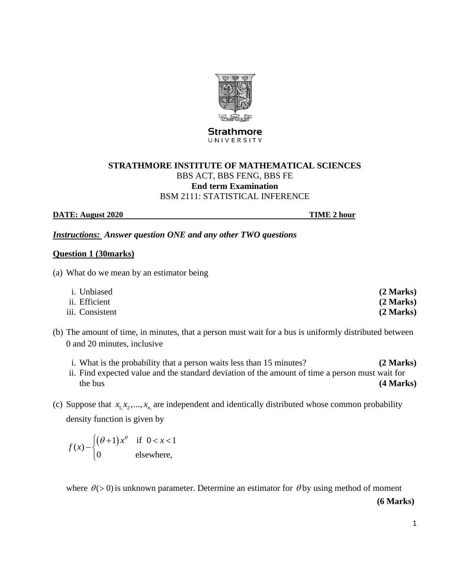

**Strathmore** UNIVERSITY

# **STRATHMORE INSTITUTE OF MATHEMATICAL SCIENCES** BBS ACT, BBS FENG, BBS FE **End term Examination** BSM 2111: STATISTICAL INFERENCE

**DATE:** August 2020 **TIME** 2 hour

*Instructions: Answer question ONE and any other TWO questions*

### **Question 1 (30marks)**

(a) What do we mean by an estimator being

| <i>i</i> . Unbiased | (2 Marks) |
|---------------------|-----------|
| ii. Efficient       | (2 Marks) |
| iii. Consistent     | (2 Marks) |

- (b) The amount of time, in minutes, that a person must wait for a bus is uniformly distributed between 0 and 20 minutes, inclusive
	- i. What is the probability that a person waits less than 15 minutes? **(2 Marks)** ii. Find expected value and the standard deviation of the amount of time a person must wait for the bus **(4 Marks) (4 Marks)**
- (c) Suppose that  $x_1, x_2, ..., x_n$  are independent and identically distributed whose common probability density function is given by

 $(\theta+1) x^{\theta}$  if  $0 < x < 1$  $\left( x\right)$  $0$  elsewhere,  $x^{\theta}$  if  $0 < x$  $f(x) - \begin{cases} (\theta + 1)x^{\theta} & \text{if } x \leq 0 \\ 0 & \text{if } x \leq 0 \end{cases}$  $\int (\theta+1)x^{\theta}$  if  $0 < x < 1$ −{  $\overline{\mathcal{L}}$ 

where  $\theta$ (> 0) is unknown parameter. Determine an estimator for  $\theta$  by using method of moment

**(6 Marks)**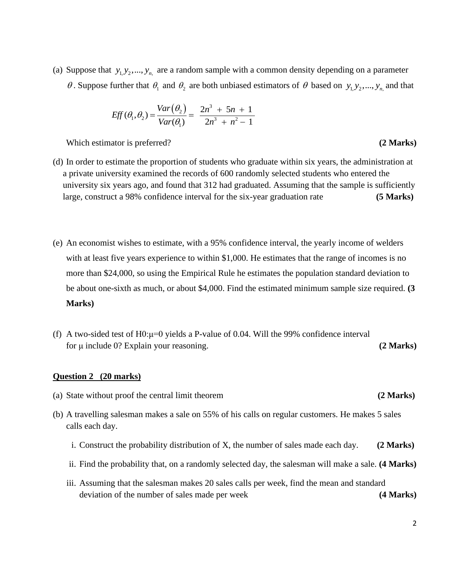(a) Suppose that  $y_1, y_2, ..., y_n$  are a random sample with a common density depending on a parameter  $\theta$ . Suppose further that  $\theta_1$  and  $\theta_2$  are both unbiased estimators of  $\theta$  based on  $y_1, y_2, ..., y_n$  and that

$$
Eff(\theta_1, \theta_2) = \frac{Var(\theta_2)}{Var(\theta_1)} = \frac{2n^3 + 5n + 1}{2n^3 + n^2 - 1}
$$

Which estimator is preferred? (2 **Marks**)

- (d) In order to estimate the proportion of students who graduate within six years, the administration at a private university examined the records of 600 randomly selected students who entered the university six years ago, and found that 312 had graduated. Assuming that the sample is sufficiently large, construct a 98% confidence interval for the six-year graduation rate **(5 Marks)**
- (e) An economist wishes to estimate, with a 95% confidence interval, the yearly income of welders with at least five years experience to within \$1,000. He estimates that the range of incomes is no more than \$24,000, so using the Empirical Rule he estimates the population standard deviation to be about one-sixth as much, or about \$4,000. Find the estimated minimum sample size required. **(3 Marks)**
- (f) A two-sided test of  $H0:µ=0$  yields a P-value of 0.04. Will the 99% confidence interval for μ include 0? Explain your reasoning. **(2 Marks)**

### **Question 2 (20 marks)**

- (a) State without proof the central limit theorem **(2 Marks)**
- (b) A travelling salesman makes a sale on 55% of his calls on regular customers. He makes 5 sales calls each day.
	- i. Construct the probability distribution of X, the number of sales made each day. **(2 Marks)**
	- ii. Find the probability that, on a randomly selected day, the salesman will make a sale. **(4 Marks)**
	- iii. Assuming that the salesman makes 20 sales calls per week, find the mean and standard deviation of the number of sales made per week **(4 Marks)**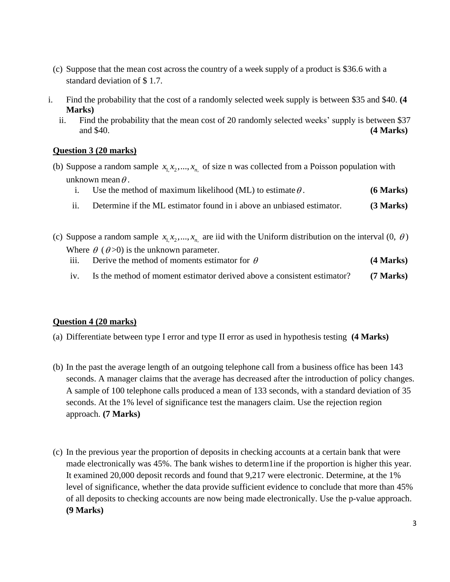- (c) Suppose that the mean cost across the country of a week supply of a product is \$36.6 with a standard deviation of \$ 1.7.
- i. Find the probability that the cost of a randomly selected week supply is between \$35 and \$40. **(4 Marks)**
	- ii. Find the probability that the mean cost of 20 randomly selected weeks' supply is between \$37 and \$40. **(4 Marks)**

# **Question 3 (20 marks)**

(b) Suppose a random sample  $x_1, x_2, ..., x_n$  of size n was collected from a Poisson population with unknown mean  $\theta$ .

|     | Use the method of maximum likelihood (ML) to estimate $\theta$ .      | $(6$ Marks) |
|-----|-----------------------------------------------------------------------|-------------|
| ii. | Determine if the ML estimator found in a above an unbiased estimator. | (3 Marks)   |

- (c) Suppose a random sample  $x_1, x_2, ..., x_n$  are iid with the Uniform distribution on the interval  $(0, \theta)$ Where  $\theta$  ( $\theta$ >0) is the unknown parameter. iii. Derive the method of moments estimator for  $\theta$ **(4 Marks)** 
	- iv. Is the method of moment estimator derived above a consistent estimator? **(7 Marks)**

# **Question 4 (20 marks)**

- (a) Differentiate between type I error and type II error as used in hypothesis testing **(4 Marks)**
- (b) In the past the average length of an outgoing telephone call from a business office has been 143 seconds. A manager claims that the average has decreased after the introduction of policy changes. A sample of 100 telephone calls produced a mean of 133 seconds, with a standard deviation of 35 seconds. At the 1% level of significance test the managers claim. Use the rejection region approach. **(7 Marks)**
- (c) In the previous year the proportion of deposits in checking accounts at a certain bank that were made electronically was 45%. The bank wishes to determ1ine if the proportion is higher this year. It examined 20,000 deposit records and found that 9,217 were electronic. Determine, at the 1% level of significance, whether the data provide sufficient evidence to conclude that more than 45% of all deposits to checking accounts are now being made electronically. Use the p-value approach. **(9 Marks)**